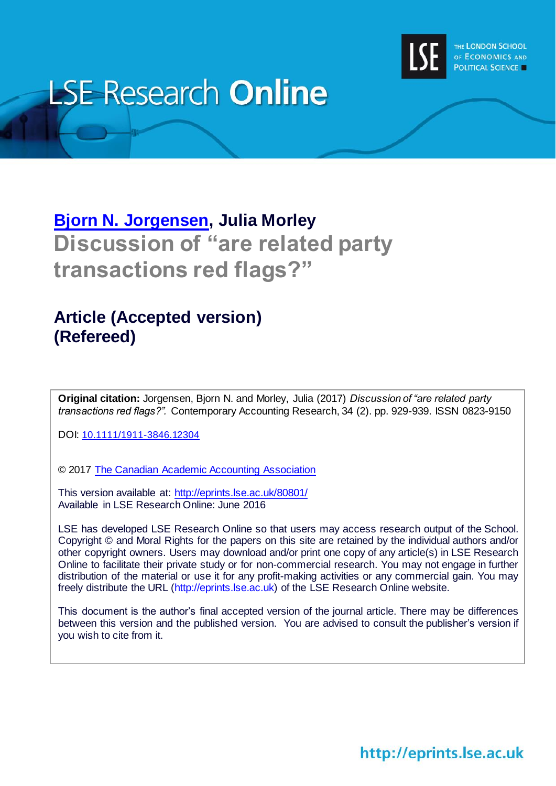

# **LSE Research Online**

## **[Bjorn N. Jorgensen,](http://www.lse.ac.uk/researchAndExpertise/Experts/profile.aspx?KeyValue=b.n.jorgensen@lse.ac.uk) Julia Morley Discussion of "are related party transactions red flags?"**

### **Article (Accepted version) (Refereed)**

**Original citation:** Jorgensen, Bjorn N. and Morley, Julia (2017) *Discussion of "are related party transactions red flags?".* Contemporary Accounting Research, 34 (2). pp. 929-939. ISSN 0823-9150

DOI: [10.1111/1911-3846.12304](http://dx.doi.org/10.1111/1911-3846.12304)

© 2017 [The Canadian Academic Accounting Association](https://www.caaa.ca/)

This version available at:<http://eprints.lse.ac.uk/80801/> Available in LSE Research Online: June 2016

LSE has developed LSE Research Online so that users may access research output of the School. Copyright © and Moral Rights for the papers on this site are retained by the individual authors and/or other copyright owners. Users may download and/or print one copy of any article(s) in LSE Research Online to facilitate their private study or for non-commercial research. You may not engage in further distribution of the material or use it for any profit-making activities or any commercial gain. You may freely distribute the URL (http://eprints.lse.ac.uk) of the LSE Research Online website.

This document is the author's final accepted version of the journal article. There may be differences between this version and the published version. You are advised to consult the publisher's version if you wish to cite from it.

http://eprints.lse.ac.uk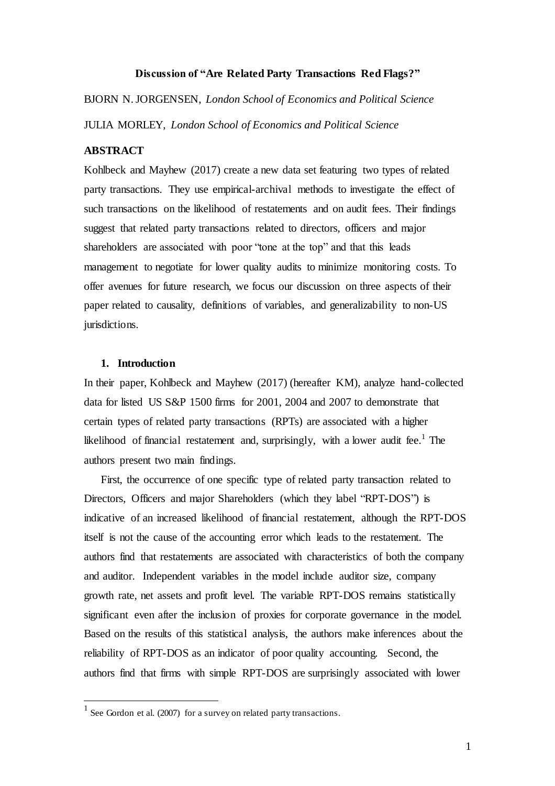#### **Discussion of "Are Related Party Transactions Red Flags?"**

BJORN N. JORGENSEN, *London School of Economics and Political Science* JULIA MORLEY, *London School of Economics and Political Science*

#### **ABSTRACT**

Kohlbeck and Mayhew (2017) create a new data set featuring two types of related party transactions. They use empirical-archival methods to investigate the effect of such transactions on the likelihood of restatements and on audit fees. Their findings suggest that related party transactions related to directors, officers and major shareholders are associated with poor "tone at the top" and that this leads management to negotiate for lower quality audits to minimize monitoring costs. To offer avenues for future research, we focus our discussion on three aspects of their paper related to causality, definitions of variables, and generalizability to non-US jurisdictions.

#### **1. Introduction**

 $\overline{a}$ 

In their paper, Kohlbeck and Mayhew (2017) (hereafter KM), analyze hand-collected data for listed US S&P 1500 firms for 2001, 2004 and 2007 to demonstrate that certain types of related party transactions (RPTs) are associated with a higher likelihood of financial restatement and, surprisingly, with a lower audit fee.<sup>1</sup> The authors present two main findings.

First, the occurrence of one specific type of related party transaction related to Directors, Officers and major Shareholders (which they label "RPT-DOS") is indicative of an increased likelihood of financial restatement, although the RPT-DOS itself is not the cause of the accounting error which leads to the restatement. The authors find that restatements are associated with characteristics of both the company and auditor. Independent variables in the model include auditor size, company growth rate, net assets and profit level. The variable RPT-DOS remains statistically significant even after the inclusion of proxies for corporate governance in the model. Based on the results of this statistical analysis, the authors make inferences about the reliability of RPT-DOS as an indicator of poor quality accounting. Second, the authors find that firms with simple RPT-DOS are surprisingly associated with lower

 $<sup>1</sup>$  See Gordon et al. (2007) for a survey on related party transactions.</sup>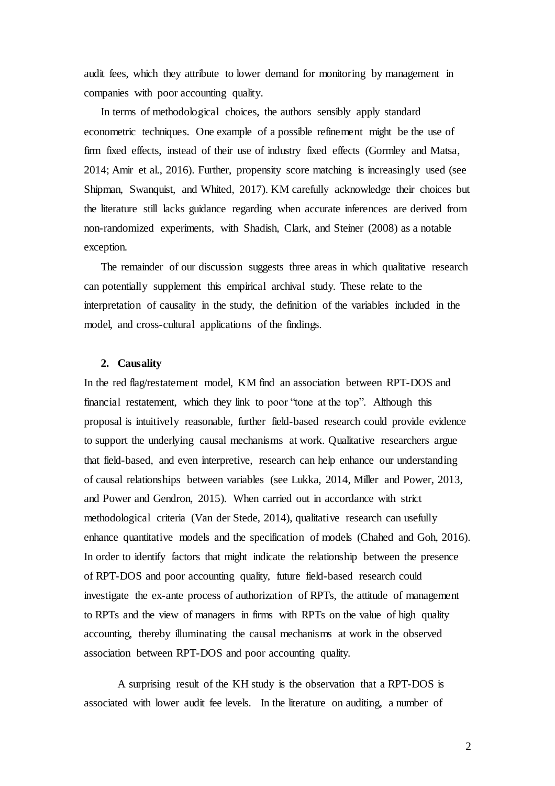audit fees, which they attribute to lower demand for monitoring by management in companies with poor accounting quality.

In terms of methodological choices, the authors sensibly apply standard econometric techniques. One example of a possible refinement might be the use of firm fixed effects, instead of their use of industry fixed effects (Gormley and Matsa, 2014; Amir et al., 2016). Further, propensity score matching is increasingly used (see Shipman, Swanquist, and Whited, 2017). KM carefully acknowledge their choices but the literature still lacks guidance regarding when accurate inferences are derived from non-randomized experiments, with Shadish, Clark, and Steiner (2008) as a notable exception.

The remainder of our discussion suggests three areas in which qualitative research can potentially supplement this empirical archival study. These relate to the interpretation of causality in the study, the definition of the variables included in the model, and cross-cultural applications of the findings.

#### **2. Causality**

In the red flag/restatement model, KM find an association between RPT-DOS and financial restatement, which they link to poor "tone at the top". Although this proposal is intuitively reasonable, further field-based research could provide evidence to support the underlying causal mechanisms at work. Qualitative researchers argue that field-based, and even interpretive, research can help enhance our understanding of causal relationships between variables (see Lukka, 2014, Miller and Power, 2013, and Power and Gendron, 2015). When carried out in accordance with strict methodological criteria (Van der Stede, 2014), qualitative research can usefully enhance quantitative models and the specification of models (Chahed and Goh, 2016). In order to identify factors that might indicate the relationship between the presence of RPT-DOS and poor accounting quality, future field-based research could investigate the ex-ante process of authorization of RPTs, the attitude of management to RPTs and the view of managers in firms with RPTs on the value of high quality accounting, thereby illuminating the causal mechanisms at work in the observed association between RPT-DOS and poor accounting quality.

A surprising result of the KH study is the observation that a RPT-DOS is associated with lower audit fee levels. In the literature on auditing, a number of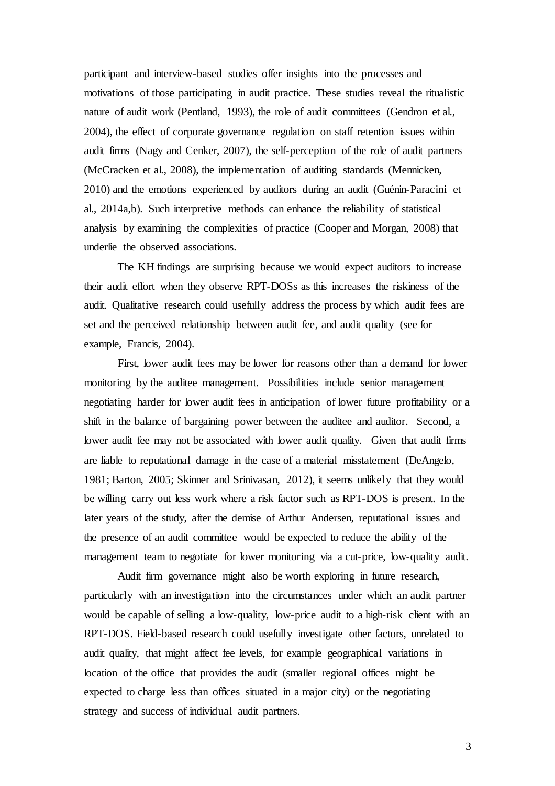participant and interview-based studies offer insights into the processes and motivations of those participating in audit practice. These studies reveal the ritualistic nature of audit work (Pentland, 1993), the role of audit committees (Gendron et al., 2004), the effect of corporate governance regulation on staff retention issues within audit firms (Nagy and Cenker, 2007), the self-perception of the role of audit partners (McCracken et al., 2008), the implementation of auditing standards (Mennicken, 2010) and the emotions experienced by auditors during an audit (Guénin-Paracini et al., 2014a,b). Such interpretive methods can enhance the reliability of statistical analysis by examining the complexities of practice (Cooper and Morgan, 2008) that underlie the observed associations.

The KH findings are surprising because we would expect auditors to increase their audit effort when they observe RPT-DOSs as this increases the riskiness of the audit. Qualitative research could usefully address the process by which audit fees are set and the perceived relationship between audit fee, and audit quality (see for example, Francis, 2004).

First, lower audit fees may be lower for reasons other than a demand for lower monitoring by the auditee management. Possibilities include senior management negotiating harder for lower audit fees in anticipation of lower future profitability or a shift in the balance of bargaining power between the auditee and auditor. Second, a lower audit fee may not be associated with lower audit quality. Given that audit firms are liable to reputational damage in the case of a material misstatement (DeAngelo, 1981; Barton, 2005; Skinner and Srinivasan, 2012), it seems unlikely that they would be willing carry out less work where a risk factor such as RPT-DOS is present. In the later years of the study, after the demise of Arthur Andersen, reputational issues and the presence of an audit committee would be expected to reduce the ability of the management team to negotiate for lower monitoring via a cut-price, low-quality audit.

Audit firm governance might also be worth exploring in future research, particularly with an investigation into the circumstances under which an audit partner would be capable of selling a low-quality, low-price audit to a high-risk client with an RPT-DOS. Field-based research could usefully investigate other factors, unrelated to audit quality, that might affect fee levels, for example geographical variations in location of the office that provides the audit (smaller regional offices might be expected to charge less than offices situated in a major city) or the negotiating strategy and success of individual audit partners.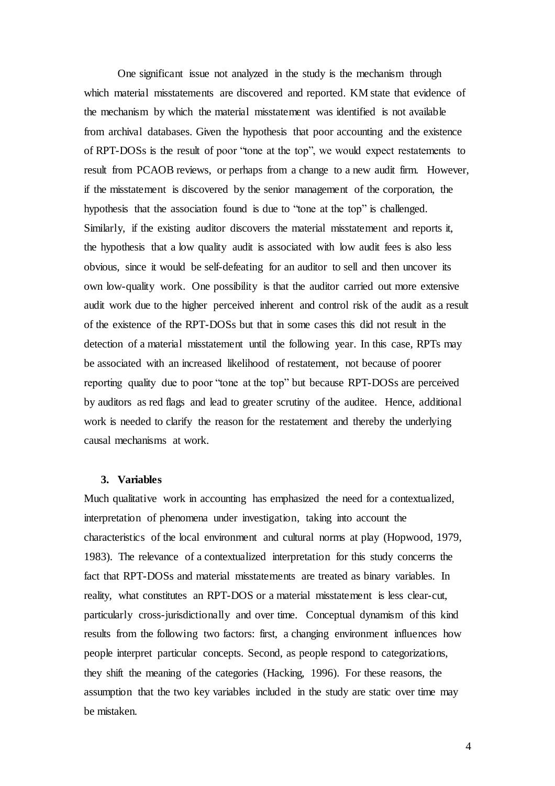One significant issue not analyzed in the study is the mechanism through which material misstatements are discovered and reported. KM state that evidence of the mechanism by which the material misstatement was identified is not available from archival databases. Given the hypothesis that poor accounting and the existence of RPT-DOSs is the result of poor "tone at the top", we would expect restatements to result from PCAOB reviews, or perhaps from a change to a new audit firm. However, if the misstatement is discovered by the senior management of the corporation, the hypothesis that the association found is due to "tone at the top" is challenged. Similarly, if the existing auditor discovers the material misstatement and reports it, the hypothesis that a low quality audit is associated with low audit fees is also less obvious, since it would be self-defeating for an auditor to sell and then uncover its own low-quality work. One possibility is that the auditor carried out more extensive audit work due to the higher perceived inherent and control risk of the audit as a result of the existence of the RPT-DOSs but that in some cases this did not result in the detection of a material misstatement until the following year. In this case, RPTs may be associated with an increased likelihood of restatement, not because of poorer reporting quality due to poor "tone at the top" but because RPT-DOSs are perceived by auditors as red flags and lead to greater scrutiny of the auditee. Hence, additional work is needed to clarify the reason for the restatement and thereby the underlying causal mechanisms at work.

#### **3. Variables**

Much qualitative work in accounting has emphasized the need for a contextualized, interpretation of phenomena under investigation, taking into account the characteristics of the local environment and cultural norms at play (Hopwood, 1979, 1983). The relevance of a contextualized interpretation for this study concerns the fact that RPT-DOSs and material misstatements are treated as binary variables. In reality, what constitutes an RPT-DOS or a material misstatement is less clear-cut, particularly cross-jurisdictionally and over time. Conceptual dynamism of this kind results from the following two factors: first, a changing environment influences how people interpret particular concepts. Second, as people respond to categorizations, they shift the meaning of the categories (Hacking, 1996). For these reasons, the assumption that the two key variables included in the study are static over time may be mistaken.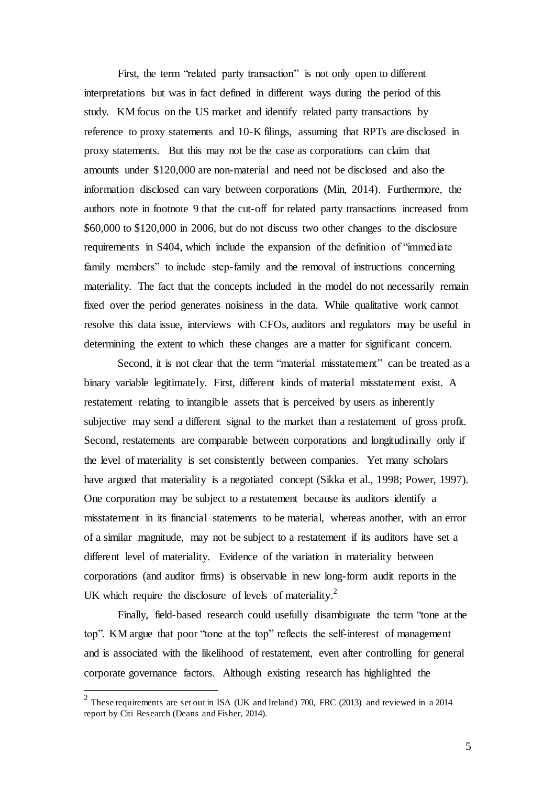First, the term "related party transaction" is not only open to different interpretations but was in fact defined in different ways during the period of this study. KM focus on the US market and identify related party transactions by reference to proxy statements and 10-K filings, assuming that RPTs are disclosed in proxy statements. But this may not be the case as corporations can claim that amounts under \$120,000 are non-material and need not be disclosed and also the information disclosed can vary between corporations (Min, 2014). Furthermore, the authors note in footnote 9 that the cut-off for related party transactions increased from \$60,000 to \$120,000 in 2006, but do not discuss two other changes to the disclosure requirements in S404, which include the expansion of the definition of "immediate family members" to include step-family and the removal of instructions concerning materiality. The fact that the concepts included in the model do not necessarily remain fixed over the period generates noisiness in the data. While qualitative work cannot resolve this data issue, interviews with CFOs, auditors and regulators may be useful in determining the extent to which these changes are a matter for significant concern.

Second, it is not clear that the term "material misstatement" can be treated as a binary variable legitimately. First, different kinds of material misstatement exist. A restatement relating to intangible assets that is perceived by users as inherently subjective may send a different signal to the market than a restatement of gross profit. Second, restatements are comparable between corporations and longitudinally only if the level of materiality is set consistently between companies. Yet many scholars have argued that materiality is a negotiated concept (Sikka et al., 1998; Power, 1997). One corporation may be subject to a restatement because its auditors identify a misstatement in its financial statements to be material, whereas another, with an error of a similar magnitude, may not be subject to a restatement if its auditors have set a different level of materiality. Evidence of the variation in materiality between corporations (and auditor firms) is observable in new long-form audit reports in the UK which require the disclosure of levels of materiality.<sup>2</sup>

Finally, field-based research could usefully disambiguate the term "tone at the top". KM argue that poor "tone at the top" reflects the self-interest of management and is associated with the likelihood of restatement, even after controlling for general corporate governance factors. Although existing research has highlighted the

 $\overline{a}$ 

<sup>&</sup>lt;sup>2</sup> These requirements are set out in ISA (UK and Ireland) 700, FRC (2013) and reviewed in a 2014 report by Citi Research (Deans and Fisher, 2014).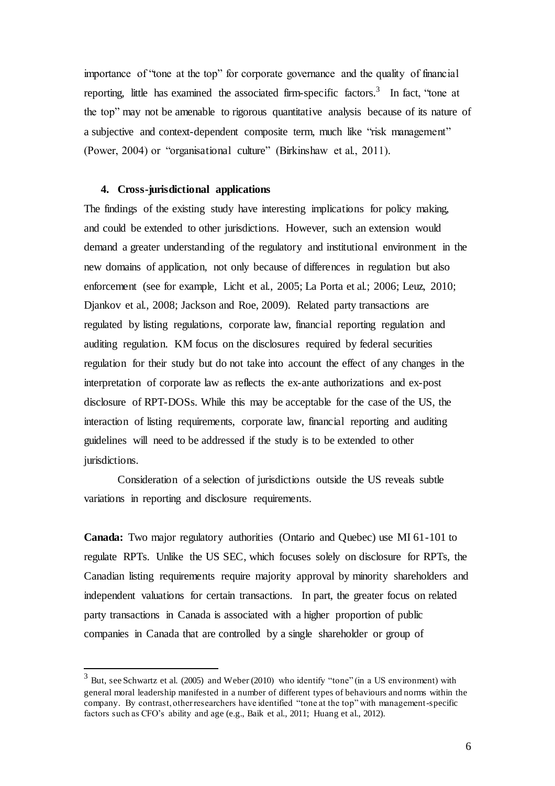importance of "tone at the top" for corporate governance and the quality of financial reporting, little has examined the associated firm-specific factors.<sup>3</sup> In fact, "tone at the top" may not be amenable to rigorous quantitative analysis because of its nature of a subjective and context-dependent composite term, much like "risk management" (Power, 2004) or "organisational culture" (Birkinshaw et al., 2011).

#### **4. Cross-jurisdictional applications**

 $\overline{a}$ 

The findings of the existing study have interesting implications for policy making, and could be extended to other jurisdictions. However, such an extension would demand a greater understanding of the regulatory and institutional environment in the new domains of application, not only because of differences in regulation but also enforcement (see for example, Licht et al., 2005; La Porta et al.; 2006; Leuz, 2010; Djankov et al., 2008; Jackson and Roe, 2009). Related party transactions are regulated by listing regulations, corporate law, financial reporting regulation and auditing regulation. KM focus on the disclosures required by federal securities regulation for their study but do not take into account the effect of any changes in the interpretation of corporate law as reflects the ex-ante authorizations and ex-post disclosure of RPT-DOSs. While this may be acceptable for the case of the US, the interaction of listing requirements, corporate law, financial reporting and auditing guidelines will need to be addressed if the study is to be extended to other jurisdictions.

Consideration of a selection of jurisdictions outside the US reveals subtle variations in reporting and disclosure requirements.

**Canada:** Two major regulatory authorities (Ontario and Quebec) use MI 61-101 to regulate RPTs. Unlike the US SEC, which focuses solely on disclosure for RPTs, the Canadian listing requirements require majority approval by minority shareholders and independent valuations for certain transactions. In part, the greater focus on related party transactions in Canada is associated with a higher proportion of public companies in Canada that are controlled by a single shareholder or group of

<sup>3</sup> But, see Schwartz et al. (2005) and Weber (2010) who identify "tone" (in a US environment) with general moral leadership manifested in a number of different types of behaviours and norms within the company. By contrast, other researchers have identified "tone at the top" with management-specific factors such as CFO's ability and age (e.g., Baik et al., 2011; Huang et al., 2012).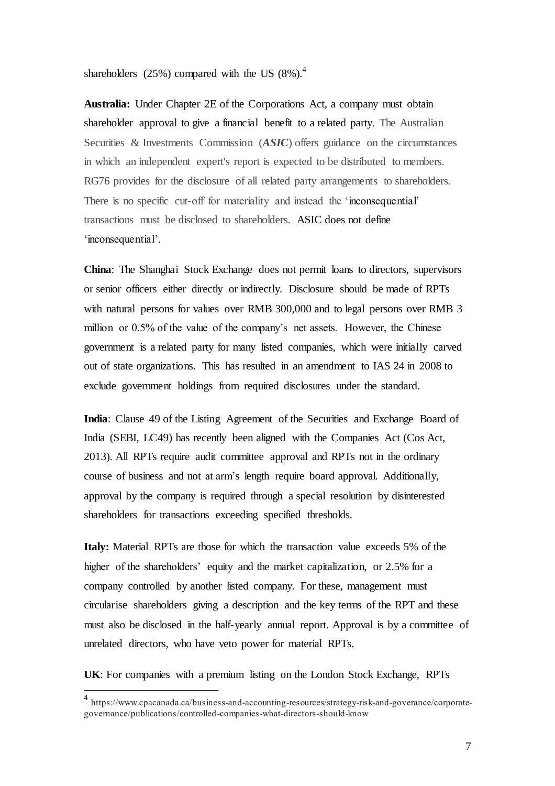shareholders  $(25%)$  compared with the US  $(8%)$ .<sup>4</sup>

**Australia:** Under Chapter 2E of the Corporations Act, a company must obtain shareholder approval to give a financial benefit to a related party. The Australian Securities & Investments Commission (*ASIC*) offers guidance on the circumstances in which an independent expert's report is expected to be distributed to members. RG76 provides for the disclosure of all related party arrangements to shareholders. There is no specific cut-off for materiality and instead the 'inconsequential' transactions must be disclosed to shareholders. ASIC does not define 'inconsequential'.

**China**: The Shanghai Stock Exchange does not permit loans to directors, supervisors or senior officers either directly or indirectly. Disclosure should be made of RPTs with natural persons for values over RMB 300,000 and to legal persons over RMB 3 million or 0.5% of the value of the company's net assets. However, the Chinese government is a related party for many listed companies, which were initially carved out of state organizations. This has resulted in an amendment to IAS 24 in 2008 to exclude government holdings from required disclosures under the standard.

**India**: Clause 49 of the Listing Agreement of the Securities and Exchange Board of India (SEBI, LC49) has recently been aligned with the Companies Act (Cos Act, 2013). All RPTs require audit committee approval and RPTs not in the ordinary course of business and not at arm's length require board approval. Additionally, approval by the company is required through a special resolution by disinterested shareholders for transactions exceeding specified thresholds.

**Italy:** Material RPTs are those for which the transaction value exceeds 5% of the higher of the shareholders' equity and the market capitalization, or 2.5% for a company controlled by another listed company. For these, management must circularise shareholders giving a description and the key terms of the RPT and these must also be disclosed in the half-yearly annual report. Approval is by a committee of unrelated directors, who have veto power for material RPTs.

**UK**: For companies with a premium listing on the London Stock Exchange, RPTs

 $\overline{a}$ 

<sup>4</sup> https://www.cpacanada.ca/business-and-accounting-resources/strategy-risk-and-goverance/corporategovernance/publications/controlled-companies-what-directors-should-know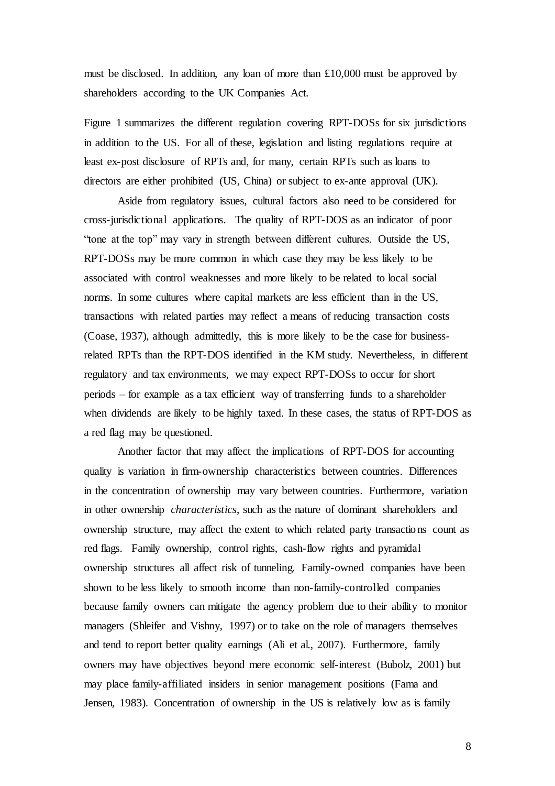must be disclosed. In addition, any loan of more than £10,000 must be approved by shareholders according to the UK Companies Act.

Figure 1 summarizes the different regulation covering RPT-DOSs for six jurisdictions in addition to the US. For all of these, legislation and listing regulations require at least ex-post disclosure of RPTs and, for many, certain RPTs such as loans to directors are either prohibited (US, China) or subject to ex-ante approval (UK).

Aside from regulatory issues, cultural factors also need to be considered for cross-jurisdictional applications. The quality of RPT-DOS as an indicator of poor "tone at the top" may vary in strength between different cultures. Outside the US, RPT-DOSs may be more common in which case they may be less likely to be associated with control weaknesses and more likely to be related to local social norms. In some cultures where capital markets are less efficient than in the US, transactions with related parties may reflect a means of reducing transaction costs (Coase, 1937), although admittedly, this is more likely to be the case for businessrelated RPTs than the RPT-DOS identified in the KM study. Nevertheless, in different regulatory and tax environments, we may expect RPT-DOSs to occur for short periods – for example as a tax efficient way of transferring funds to a shareholder when dividends are likely to be highly taxed. In these cases, the status of RPT-DOS as a red flag may be questioned.

Another factor that may affect the implications of RPT-DOS for accounting quality is variation in firm-ownership characteristics between countries. Differences in the concentration of ownership may vary between countries. Furthermore, variation in other ownership *characteristics*, such as the nature of dominant shareholders and ownership structure, may affect the extent to which related party transactions count as red flags. Family ownership, control rights, cash-flow rights and pyramidal ownership structures all affect risk of tunneling. Family-owned companies have been shown to be less likely to smooth income than non-family-controlled companies because family owners can mitigate the agency problem due to their ability to monitor managers (Shleifer and Vishny, 1997) or to take on the role of managers themselves and tend to report better quality earnings (Ali et al., 2007). Furthermore, family owners may have objectives beyond mere economic self-interest (Bubolz, 2001) but may place family-affiliated insiders in senior management positions (Fama and Jensen, 1983). Concentration of ownership in the US is relatively low as is family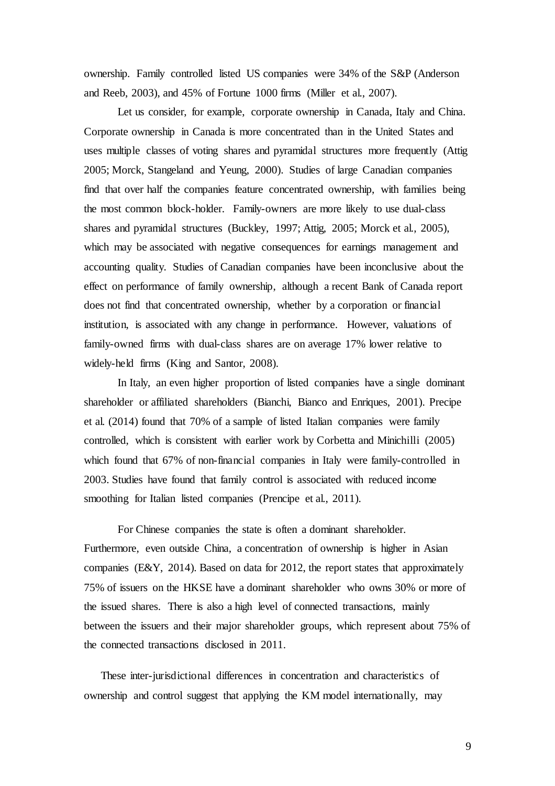ownership. Family controlled listed US companies were 34% of the S&P (Anderson and Reeb, 2003), and 45% of Fortune 1000 firms (Miller et al., 2007).

Let us consider, for example, corporate ownership in Canada, Italy and China. Corporate ownership in Canada is more concentrated than in the United States and uses multiple classes of voting shares and pyramidal structures more frequently (Attig 2005; Morck, Stangeland and Yeung, 2000). Studies of large Canadian companies find that over half the companies feature concentrated ownership, with families being the most common block-holder. Family-owners are more likely to use dual-class shares and pyramidal structures (Buckley, 1997; Attig, 2005; Morck et al., 2005), which may be associated with negative consequences for earnings management and accounting quality. Studies of Canadian companies have been inconclusive about the effect on performance of family ownership, although a recent Bank of Canada report does not find that concentrated ownership, whether by a corporation or financial institution, is associated with any change in performance. However, valuations of family-owned firms with dual-class shares are on average 17% lower relative to widely-held firms (King and Santor, 2008).

In Italy, an even higher proportion of listed companies have a single dominant shareholder or affiliated shareholders (Bianchi, Bianco and Enriques, 2001). Precipe et al. (2014) found that 70% of a sample of listed Italian companies were family controlled, which is consistent with earlier work by Corbetta and Minichilli (2005) which found that 67% of non-financial companies in Italy were family-controlled in 2003. Studies have found that family control is associated with reduced income smoothing for Italian listed companies (Prencipe et al., 2011).

For Chinese companies the state is often a dominant shareholder. Furthermore, even outside China, a concentration of ownership is higher in Asian companies (E&Y, 2014). Based on data for 2012, the report states that approximately 75% of issuers on the HKSE have a dominant shareholder who owns 30% or more of the issued shares. There is also a high level of connected transactions, mainly between the issuers and their major shareholder groups, which represent about 75% of the connected transactions disclosed in 2011.

These inter-jurisdictional differences in concentration and characteristics of ownership and control suggest that applying the KM model internationally, may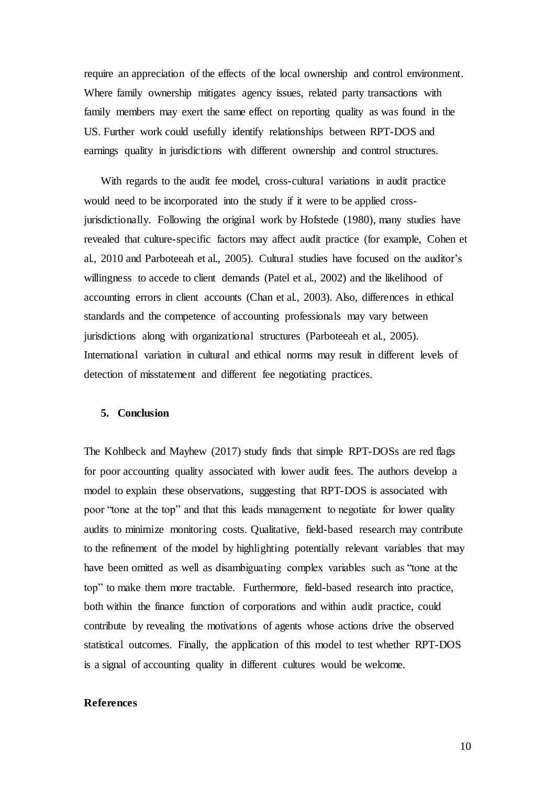require an appreciation of the effects of the local ownership and control environment. Where family ownership mitigates agency issues, related party transactions with family members may exert the same effect on reporting quality as was found in the US. Further work could usefully identify relationships between RPT-DOS and earnings quality in jurisdictions with different ownership and control structures.

With regards to the audit fee model, cross-cultural variations in audit practice would need to be incorporated into the study if it were to be applied crossjurisdictionally. Following the original work by Hofstede (1980), many studies have revealed that culture-specific factors may affect audit practice (for example, Cohen et al., 2010 and Parboteeah et al., 2005). Cultural studies have focused on the auditor's willingness to accede to client demands (Patel et al., 2002) and the likelihood of accounting errors in client accounts (Chan et al., 2003). Also, differences in ethical standards and the competence of accounting professionals may vary between jurisdictions along with organizational structures (Parboteeah et al., 2005). International variation in cultural and ethical norms may result in different levels of detection of misstatement and different fee negotiating practices.

#### **5. Conclusion**

The Kohlbeck and Mayhew (2017) study finds that simple RPT-DOSs are red flags for poor accounting quality associated with lower audit fees. The authors develop a model to explain these observations, suggesting that RPT-DOS is associated with poor "tone at the top" and that this leads management to negotiate for lower quality audits to minimize monitoring costs. Qualitative, field-based research may contribute to the refinement of the model by highlighting potentially relevant variables that may have been omitted as well as disambiguating complex variables such as "tone at the top" to make them more tractable. Furthermore, field-based research into practice, both within the finance function of corporations and within audit practice, could contribute by revealing the motivations of agents whose actions drive the observed statistical outcomes. Finally, the application of this model to test whether RPT-DOS is a signal of accounting quality in different cultures would be welcome.

#### **References**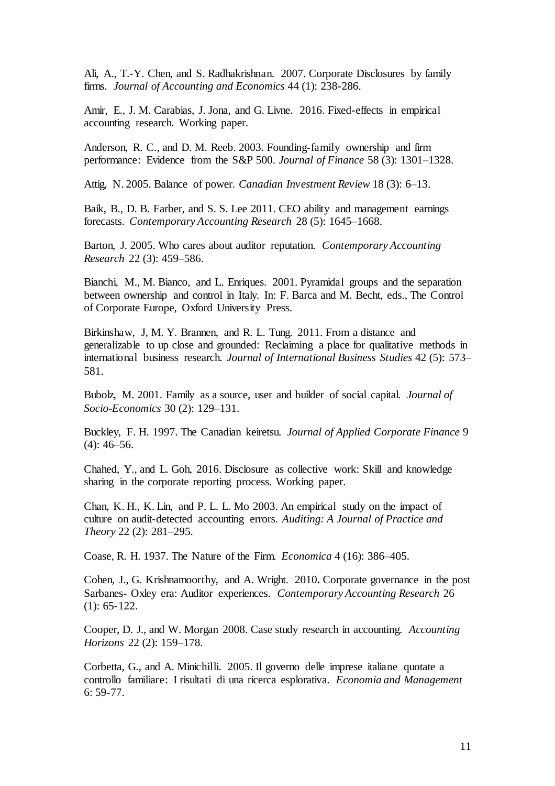Ali, A., T.-Y. Chen, and S. Radhakrishnan. 2007. Corporate Disclosures by family firms. *Journal of Accounting and Economics* 44 (1): 238-286.

Amir, E., J. M. Carabias, J. Jona, and G. Livne. 2016. Fixed-effects in empirical accounting research. Working paper.

Anderson, R. C., and D. M. Reeb. 2003. Founding-family ownership and firm performance: Evidence from the S&P 500. *Journal of Finance* 58 (3): 1301–1328.

Attig, N. 2005. Balance of power. *Canadian Investment Review* 18 (3): 6–13.

Baik, B., D. B. Farber, and S. S. Lee 2011. CEO ability and management earnings forecasts. *Contemporary Accounting Research* 28 (5): 1645–1668.

Barton, J. 2005. Who cares about auditor reputation. *Contemporary Accounting Research* 22 (3): 459–586.

Bianchi, M., M. Bianco, and L. Enriques. 2001. Pyramidal groups and the separation between ownership and control in Italy. In: F. Barca and M. Becht, eds., The Control of Corporate Europe, Oxford University Press.

Birkinshaw, J, M. Y. Brannen, and R. L. Tung. 2011. From a distance and generalizable to up close and grounded: Reclaiming a place for qualitative methods in international business research. *Journal of International Business Studies* 42 (5): 573– 581.

Bubolz, M. 2001. Family as a source, user and builder of social capital. *Journal of Socio-Economics* 30 (2): 129–131.

Buckley, F. H. 1997. The Canadian keiretsu. *Journal of Applied Corporate Finance* 9 (4): 46–56.

Chahed, Y., and L. Goh, 2016. Disclosure as collective work: Skill and knowledge sharing in the corporate reporting process. Working paper.

Chan, K. H., K. Lin, and P. L. L. Mo 2003. An empirical study on the impact of culture on audit-detected accounting errors. *Auditing: A Journal of Practice and Theory* 22 (2): 281–295.

Coase, R. H. 1937. The Nature of the Firm. *Economica* 4 (16): 386–405.

Cohen, J., G. Krishnamoorthy, and A. Wright. 2010**.** Corporate governance in the post Sarbanes- Oxley era: Auditor experiences. *Contemporary Accounting Research* 26 (1): 65-122.

Cooper, D. J., and W. Morgan 2008. Case study research in accounting. *Accounting Horizons* 22 (2): 159–178.

Corbetta, G., and A. Minichilli. 2005. Il governo delle imprese italiane quotate a controllo familiare: I risultati di una ricerca esplorativa. *Economia and Management* 6: 59-77.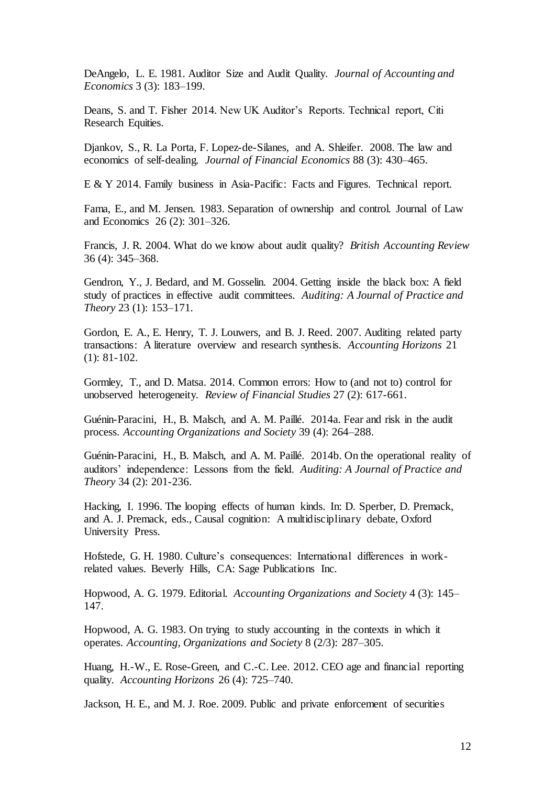DeAngelo, L. E. 1981. Auditor Size and Audit Quality. *Journal of Accounting and Economics* 3 (3): 183–199.

Deans, S. and T. Fisher 2014. New UK Auditor's Reports. Technical report, Citi Research Equities.

Djankov, S., R. La Porta, F. Lopez-de-Silanes, and A. Shleifer. 2008. The law and economics of self-dealing. *Journal of Financial Economics* 88 (3): 430–465.

E & Y 2014. Family business in Asia-Pacific: Facts and Figures. Technical report.

Fama, E., and M. Jensen. 1983. Separation of ownership and control. Journal of Law and Economics 26 (2): 301–326.

Francis, J. R. 2004. What do we know about audit quality? *British Accounting Review* 36 (4): 345–368.

Gendron, Y., J. Bedard, and M. Gosselin. 2004. Getting inside the black box: A field study of practices in effective audit committees. *Auditing: A Journal of Practice and Theory* 23 (1): 153–171.

Gordon, E. A., E. Henry, T. J. Louwers, and B. J. Reed. 2007. Auditing related party transactions: A literature overview and research synthesis. *Accounting Horizons* 21 (1): 81-102.

Gormley, T., and D. Matsa. 2014. Common errors: How to (and not to) control for unobserved heterogeneity. *Review of Financial Studies* 27 (2): 617-661.

Guénin-Paracini, H., B. Malsch, and A. M. Paillé. 2014a. Fear and risk in the audit process. *Accounting Organizations and Society* 39 (4): 264–288.

Guénin-Paracini, H., B. Malsch, and A. M. Paillé. 2014b. On the operational reality of auditors' independence: Lessons from the field. *Auditing: A Journal of Practice and Theory* 34 (2): 201-236.

Hacking, I. 1996. The looping effects of human kinds. In: D. Sperber, D. Premack, and A. J. Premack, eds., Causal cognition: A multidisciplinary debate, Oxford University Press.

Hofstede, G. H. 1980. Culture's consequences: International differences in workrelated values. Beverly Hills, CA: Sage Publications Inc.

Hopwood, A. G. 1979. Editorial. *Accounting Organizations and Society* 4 (3): 145– 147.

Hopwood, A. G. 1983. On trying to study accounting in the contexts in which it operates. *Accounting, Organizations and Society* 8 (2/3): 287–305.

Huang, H.-W., E. Rose-Green, and C.-C. Lee. 2012. CEO age and financial reporting quality. *Accounting Horizons* 26 (4): 725–740.

Jackson, H. E., and M. J. Roe. 2009. Public and private enforcement of securities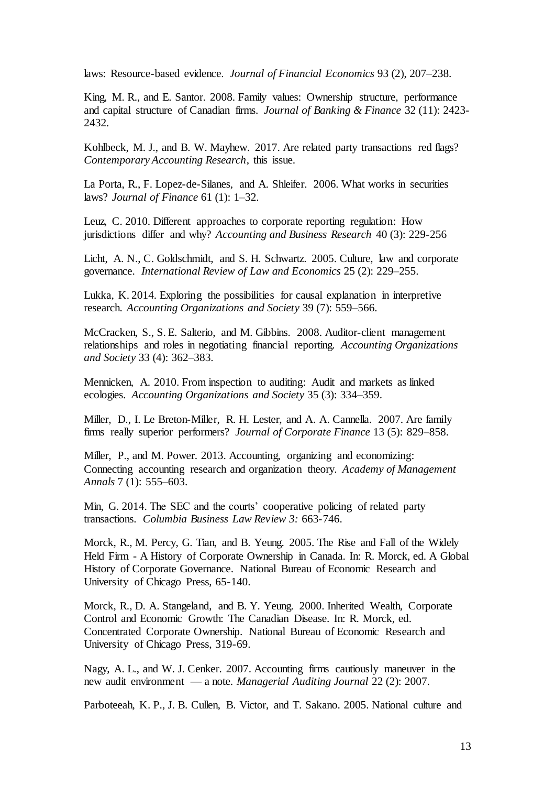laws: Resource-based evidence. *Journal of Financial Economics* 93 (2), 207–238.

King, M. R., and E. Santor. 2008. Family values: Ownership structure, performance and capital structure of Canadian firms. *Journal of Banking & Finance* 32 (11): 2423- 2432.

Kohlbeck, M. J., and B. W. Mayhew. 2017. Are related party transactions red flags? *Contemporary Accounting Research*, this issue.

La Porta, R., F. Lopez-de-Silanes, and A. Shleifer. 2006. What works in securities laws? *Journal of Finance* 61 (1): 1–32.

Leuz, C. 2010. Different approaches to corporate reporting regulation: How jurisdictions differ and why? *Accounting and Business Research* 40 (3): 229-256

Licht, A. N., C. Goldschmidt, and S. H. Schwartz. 2005. Culture, law and corporate governance. *International Review of Law and Economics* 25 (2): 229–255.

Lukka, K. 2014. Exploring the possibilities for causal explanation in interpretive research. *Accounting Organizations and Society* 39 (7): 559–566.

McCracken, S., S. E. Salterio, and M. Gibbins. 2008. Auditor-client management relationships and roles in negotiating financial reporting. *Accounting Organizations and Society* 33 (4): 362–383.

Mennicken, A. 2010. From inspection to auditing: Audit and markets as linked ecologies. *Accounting Organizations and Society* 35 (3): 334–359.

Miller, D., I. Le Breton-Miller, R. H. Lester, and A. A. Cannella. 2007. Are family firms really superior performers? *Journal of Corporate Finance* 13 (5): 829–858.

Miller, P., and M. Power. 2013. Accounting, organizing and economizing: Connecting accounting research and organization theory. *Academy of Management Annals* 7 (1): 555–603.

Min, G. 2014. The SEC and the courts' cooperative policing of related party transactions. *Columbia Business Law Review 3:* 663-746.

Morck, R., M. Percy, G. Tian, and B. Yeung. 2005. The Rise and Fall of the Widely Held Firm - A History of Corporate Ownership in Canada. In: R. Morck, ed. A Global History of Corporate Governance. National Bureau of Economic Research and University of Chicago Press, 65-140.

Morck, R., D. A. Stangeland, and B. Y. Yeung. 2000. Inherited Wealth, Corporate Control and Economic Growth: The Canadian Disease. In: R. Morck, ed. Concentrated Corporate Ownership. National Bureau of Economic Research and University of Chicago Press, 319-69.

Nagy, A. L., and W. J. Cenker. 2007. Accounting firms cautiously maneuver in the new audit environment — a note. *Managerial Auditing Journal* 22 (2): 2007.

Parboteeah, K. P., J. B. Cullen, B. Victor, and T. Sakano. 2005. National culture and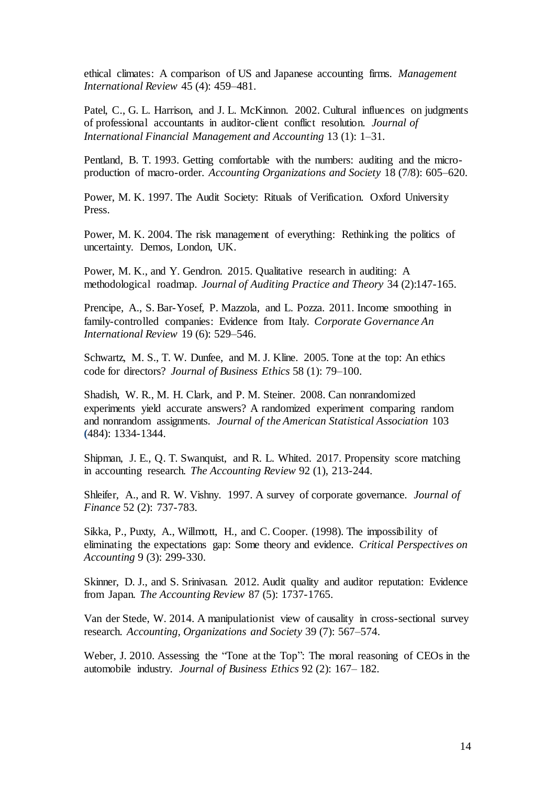ethical climates: A comparison of US and Japanese accounting firms. *Management International Review* 45 (4): 459–481.

Patel, C., G. L. Harrison, and J. L. McKinnon. 2002. Cultural influences on judgments of professional accountants in auditor-client conflict resolution. *Journal of International Financial Management and Accounting* 13 (1): 1–31.

Pentland, B. T. 1993. Getting comfortable with the numbers: auditing and the microproduction of macro-order. *Accounting Organizations and Society* 18 (7/8): 605–620.

Power, M. K. 1997. The Audit Society: Rituals of Verification. Oxford University Press.

Power, M. K. 2004. The risk management of everything: Rethinking the politics of uncertainty. Demos, London, UK.

Power, M. K., and Y. Gendron. 2015. Qualitative research in auditing: A methodological roadmap. *Journal of Auditing Practice and Theory* 34 (2):147-165.

Prencipe, A., S. Bar-Yosef, P. Mazzola, and L. Pozza. 2011. Income smoothing in family-controlled companies: Evidence from Italy. *Corporate Governance An International Review* 19 (6): 529–546.

Schwartz, M. S., T. W. Dunfee, and M. J. Kline. 2005. Tone at the top: An ethics code for directors? *Journal of Business Ethics* 58 (1): 79–100.

Shadish, W. R., M. H. Clark, and P. M. Steiner. 2008. Can nonrandomized experiments yield accurate answers? A randomized experiment comparing random and nonrandom assignments. *Journal of the American Statistical Association* 103 **(**484): 1334-1344.

Shipman, J. E., Q. T. Swanquist, and R. L. Whited. 2017. Propensity score matching in accounting research. *The Accounting Review* 92 (1), 213-244.

Shleifer, A., and R. W. Vishny. 1997. A survey of corporate governance. *Journal of Finance* 52 (2): 737-783.

Sikka, P., Puxty, A., Willmott, H., and C. Cooper. (1998). The impossibility of eliminating the expectations gap: Some theory and evidence. *Critical Perspectives on Accounting* 9 (3): 299-330.

Skinner, D. J., and S. Srinivasan. 2012. Audit quality and auditor reputation: Evidence from Japan. *The Accounting Review* 87 (5): 1737-1765.

Van der Stede, W. 2014. A manipulationist view of causality in cross-sectional survey research. *Accounting, Organizations and Society* 39 (7): 567–574.

Weber, J. 2010. Assessing the "Tone at the Top": The moral reasoning of CEOs in the automobile industry. *Journal of Business Ethics* 92 (2): 167– 182.